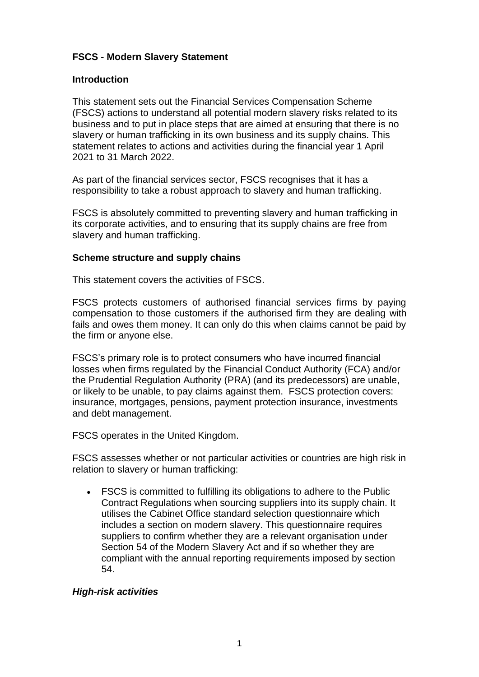### **FSCS - Modern Slavery Statement**

### **Introduction**

This statement sets out the Financial Services Compensation Scheme (FSCS) actions to understand all potential modern slavery risks related to its business and to put in place steps that are aimed at ensuring that there is no slavery or human trafficking in its own business and its supply chains. This statement relates to actions and activities during the financial year 1 April 2021 to 31 March 2022.

As part of the financial services sector, FSCS recognises that it has a responsibility to take a robust approach to slavery and human trafficking.

FSCS is absolutely committed to preventing slavery and human trafficking in its corporate activities, and to ensuring that its supply chains are free from slavery and human trafficking.

#### **Scheme structure and supply chains**

This statement covers the activities of FSCS.

FSCS protects customers of authorised financial services firms by paying compensation to those customers if the authorised firm they are dealing with fails and owes them money. It can only do this when claims cannot be paid by the firm or anyone else.

FSCS's primary role is to protect consumers who have incurred financial losses when firms regulated by the Financial Conduct Authority (FCA) and/or the Prudential Regulation Authority (PRA) (and its predecessors) are unable, or likely to be unable, to pay claims against them. FSCS protection covers: insurance, mortgages, pensions, payment protection insurance, investments and debt management.

FSCS operates in the United Kingdom.

FSCS assesses whether or not particular activities or countries are high risk in relation to slavery or human trafficking:

• FSCS is committed to fulfilling its obligations to adhere to the Public Contract Regulations when sourcing suppliers into its supply chain. It utilises the Cabinet Office standard selection questionnaire which includes a section on modern slavery. This questionnaire requires suppliers to confirm whether they are a relevant organisation under Section 54 of the Modern Slavery Act and if so whether they are compliant with the annual reporting requirements imposed by section 54.

### *High-risk activities*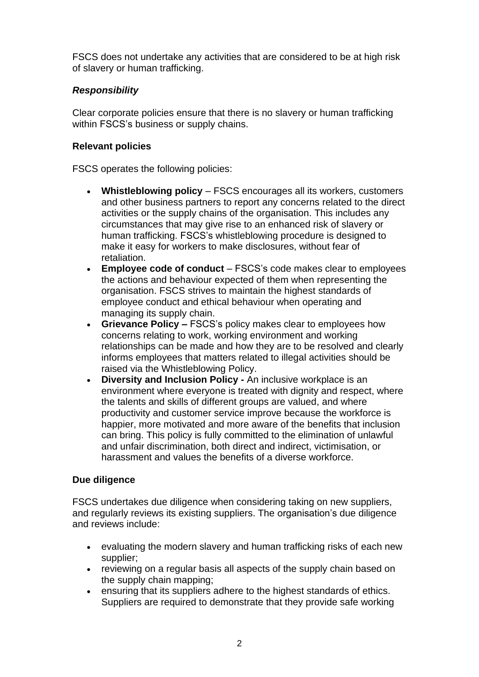FSCS does not undertake any activities that are considered to be at high risk of slavery or human trafficking.

# *Responsibility*

Clear corporate policies ensure that there is no slavery or human trafficking within FSCS's business or supply chains.

## **Relevant policies**

FSCS operates the following policies:

- **Whistleblowing policy** FSCS encourages all its workers, customers and other business partners to report any concerns related to the direct activities or the supply chains of the organisation. This includes any circumstances that may give rise to an enhanced risk of slavery or human trafficking. FSCS's whistleblowing procedure is designed to make it easy for workers to make disclosures, without fear of retaliation.
- **Employee code of conduct** FSCS's code makes clear to employees the actions and behaviour expected of them when representing the organisation. FSCS strives to maintain the highest standards of employee conduct and ethical behaviour when operating and managing its supply chain.
- **Grievance Policy –** FSCS's policy makes clear to employees how concerns relating to work, working environment and working relationships can be made and how they are to be resolved and clearly informs employees that matters related to illegal activities should be raised via the Whistleblowing Policy.
- **Diversity and Inclusion Policy -** An inclusive workplace is an environment where everyone is treated with dignity and respect, where the talents and skills of different groups are valued, and where productivity and customer service improve because the workforce is happier, more motivated and more aware of the benefits that inclusion can bring. This policy is fully committed to the elimination of unlawful and unfair discrimination, both direct and indirect, victimisation, or harassment and values the benefits of a diverse workforce.

## **Due diligence**

FSCS undertakes due diligence when considering taking on new suppliers, and regularly reviews its existing suppliers. The organisation's due diligence and reviews include:

- evaluating the modern slavery and human trafficking risks of each new supplier;
- reviewing on a regular basis all aspects of the supply chain based on the supply chain mapping;
- ensuring that its suppliers adhere to the highest standards of ethics. Suppliers are required to demonstrate that they provide safe working